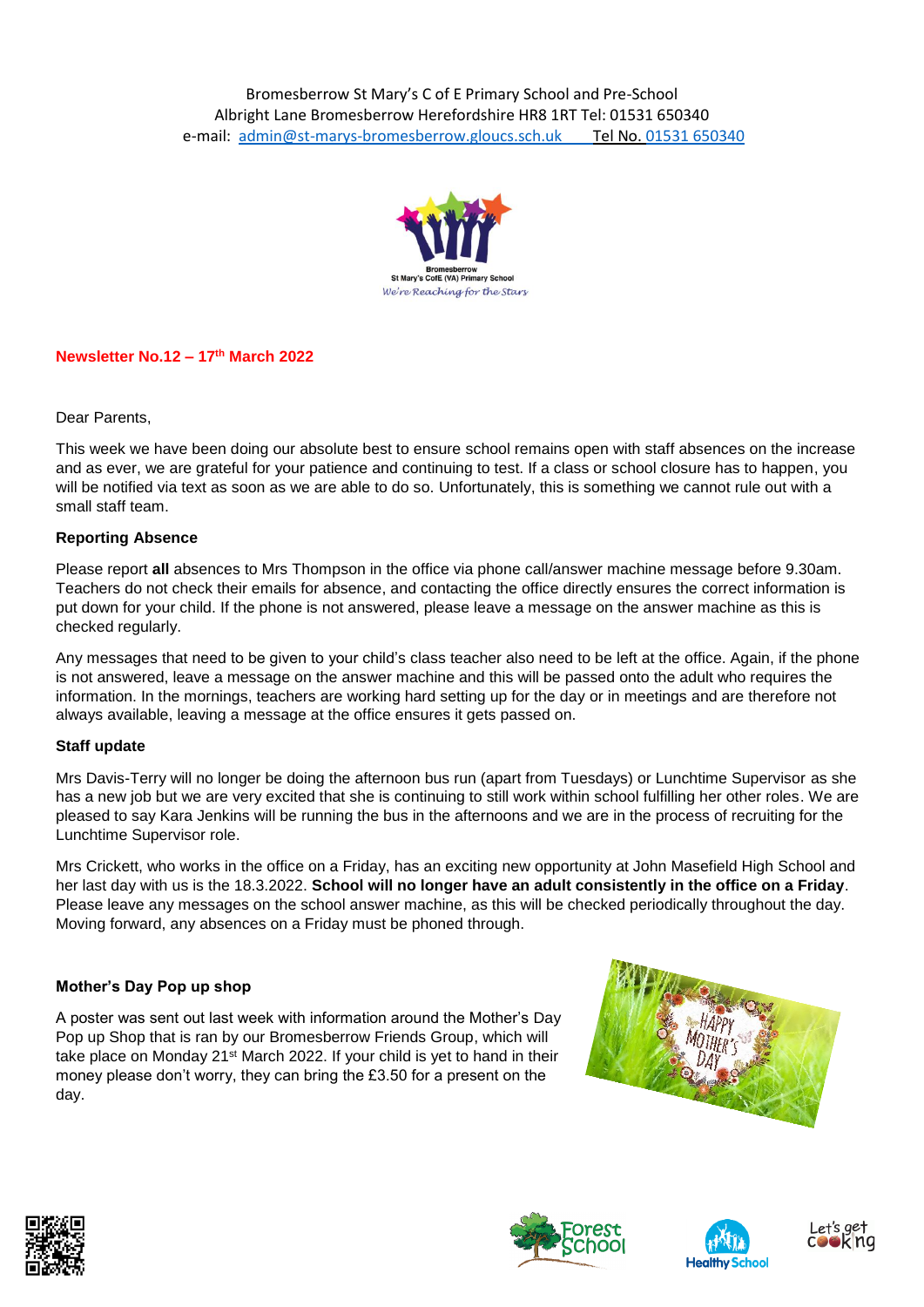

### **Newsletter No.12 – 17th March 2022**

#### Dear Parents,

This week we have been doing our absolute best to ensure school remains open with staff absences on the increase and as ever, we are grateful for your patience and continuing to test. If a class or school closure has to happen, you will be notified via text as soon as we are able to do so. Unfortunately, this is something we cannot rule out with a small staff team.

#### **Reporting Absence**

Please report **all** absences to Mrs Thompson in the office via phone call/answer machine message before 9.30am. Teachers do not check their emails for absence, and contacting the office directly ensures the correct information is put down for your child. If the phone is not answered, please leave a message on the answer machine as this is checked regularly.

Any messages that need to be given to your child's class teacher also need to be left at the office. Again, if the phone is not answered, leave a message on the answer machine and this will be passed onto the adult who requires the information. In the mornings, teachers are working hard setting up for the day or in meetings and are therefore not always available, leaving a message at the office ensures it gets passed on.

#### **Staff update**

Mrs Davis-Terry will no longer be doing the afternoon bus run (apart from Tuesdays) or Lunchtime Supervisor as she has a new job but we are very excited that she is continuing to still work within school fulfilling her other roles. We are pleased to say Kara Jenkins will be running the bus in the afternoons and we are in the process of recruiting for the Lunchtime Supervisor role.

Mrs Crickett, who works in the office on a Friday, has an exciting new opportunity at John Masefield High School and her last day with us is the 18.3.2022. **School will no longer have an adult consistently in the office on a Friday**. Please leave any messages on the school answer machine, as this will be checked periodically throughout the day. Moving forward, any absences on a Friday must be phoned through.

# **Mother's Day Pop up shop**

A poster was sent out last week with information around the Mother's Day Pop up Shop that is ran by our Bromesberrow Friends Group, which will take place on Monday 21st March 2022. If your child is yet to hand in their money please don't worry, they can bring the £3.50 for a present on the day.